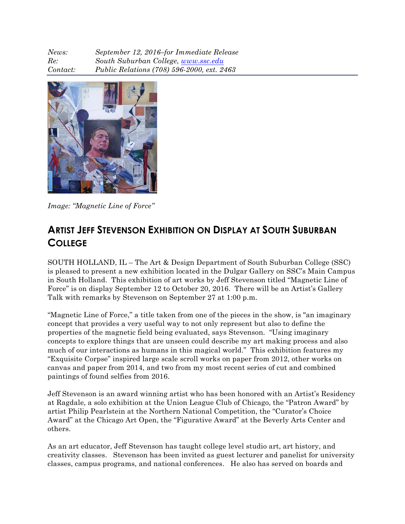| News:    | September 12, 2016-for Immediate Release   |
|----------|--------------------------------------------|
| Re:      | South Suburban College, www.ssc.edu        |
| Contact: | Public Relations (708) 596-2000, ext. 2463 |



*Image: "Magnetic Line of Force"*

## **ARTIST JEFF STEVENSON EXHIBITION ON DISPLAY AT SOUTH SUBURBAN COLLEGE**

SOUTH HOLLAND, IL – The Art & Design Department of South Suburban College (SSC) is pleased to present a new exhibition located in the Dulgar Gallery on SSC's Main Campus in South Holland. This exhibition of art works by Jeff Stevenson titled "Magnetic Line of Force" is on display September 12 to October 20, 2016. There will be an Artist's Gallery Talk with remarks by Stevenson on September 27 at 1:00 p.m.

"Magnetic Line of Force," a title taken from one of the pieces in the show, is "an imaginary concept that provides a very useful way to not only represent but also to define the properties of the magnetic field being evaluated, says Stevenson. "Using imaginary concepts to explore things that are unseen could describe my art making process and also much of our interactions as humans in this magical world." This exhibition features my "Exquisite Corpse" inspired large scale scroll works on paper from 2012, other works on canvas and paper from 2014, and two from my most recent series of cut and combined paintings of found selfies from 2016.

Jeff Stevenson is an award winning artist who has been honored with an Artist's Residency at Ragdale, a solo exhibition at the Union League Club of Chicago, the "Patron Award" by artist Philip Pearlstein at the Northern National Competition, the "Curator's Choice Award" at the Chicago Art Open, the "Figurative Award" at the Beverly Arts Center and others.

As an art educator, Jeff Stevenson has taught college level studio art, art history, and creativity classes. Stevenson has been invited as guest lecturer and panelist for university classes, campus programs, and national conferences. He also has served on boards and